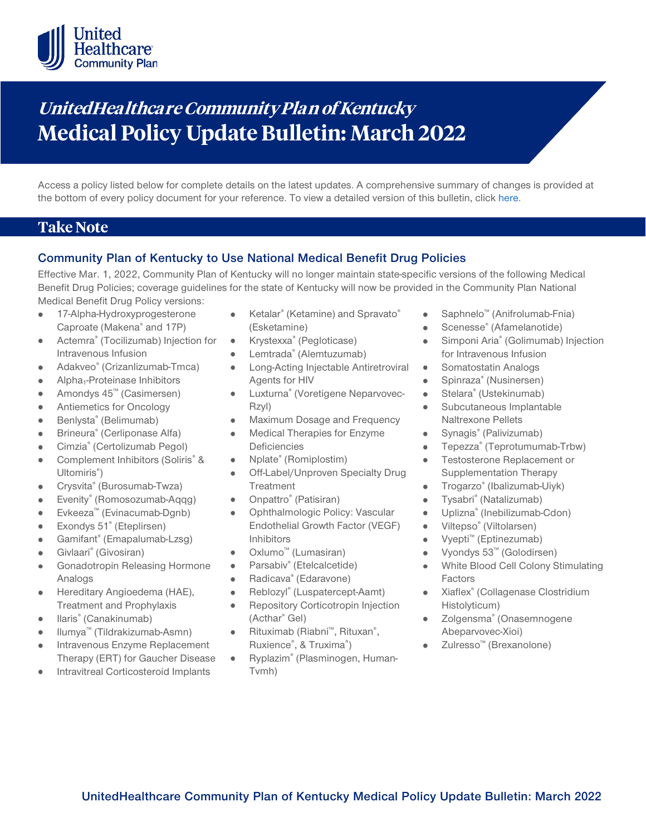

# **UnitedHealthca re Community Plan of Kentucky Medical Policy Update Bulletin: March 2022**

Access a policy listed below for complete details on the latest updates. A comprehensive summary of changes is provided at the bottom of every policy document for your reference. To view a detailed version of this bulletin, clic[k here.](https://www.uhcprovider.com/content/dam/provider/docs/public/policies/mpub-archives/comm-plan/ky/community-plan-ky-medical-policy-update-bulletin-march-2022-full.pdf)

## **Take Note**

### **Community Plan of Kentucky to Use National Medical Benefit Drug Policies**

Effective Mar. 1, 2022, Community Plan of Kentucky will no longer maintain state-specific versions of the following Medical Benefit Drug Policies; coverage guidelines for the state of Kentucky will now be provided in the Community Plan National Medical Benefit Drug Policy versions:

- 17-Alpha-Hydroxyprogesterone Caproate (Makena® and 17P)
- Actemra® (Tocilizumab) Injection for  $\bullet$ Intravenous Infusion
- Adakveo® (Crizanlizumab-Tmca)
- Alpha1-Proteinase Inhibitors
- Amondys 45™ (Casimersen)  $\bullet$
- Antiemetics for Oncology  $\bullet$
- Benlysta® (Belimumab)
- Brineura® (Cerliponase Alfa)
- Cimzia® (Certolizumab Pegol)
- Complement Inhibitors (Soliris<sup>®</sup> &  $\bullet$ Ultomiris®)
- Crysvita® (Burosumab-Twza)  $\bullet$
- Evenity® (Romosozumab-Aqqg)
- Evkeeza™ (Evinacumab-Dgnb)
- Exondys 51® (Eteplirsen)
- Gamifant® (Emapalumab-Lzsg)
- Givlaari® (Givosiran)  $\bullet$
- Gonadotropin Releasing Hormone Analogs
- Hereditary Angioedema (HAE), Treatment and Prophylaxis
- Ilaris® (Canakinumab)
- Ilumya™ (Tildrakizumab-Asmn)
- Intravenous Enzyme Replacement Therapy (ERT) for Gaucher Disease
- Intravitreal Corticosteroid Implants
- Ketalar<sup>®</sup> (Ketamine) and Spravato<sup>®</sup> (Esketamine)
- Krystexxa® (Pegloticase)  $\blacksquare$
- Lemtrada® (Alemtuzumab)
- Long-Acting Injectable Antiretroviral  $\bullet$ Agents for HIV
- Luxturna® (Voretigene Neparvovec- $\bullet$ Rzyl)
- Maximum Dosage and Frequency
- $\bullet$ Medical Therapies for Enzyme **Deficiencies**
- Nplate® (Romiplostim)
- Off-Label/Unproven Specialty Drug **Treatment**
- Onpattro® (Patisiran)
- Ophthalmologic Policy: Vascular Endothelial Growth Factor (VEGF) Inhibitors
- Oxlumo™ (Lumasiran)
- Parsabiv® (Etelcalcetide)
- Radicava® (Edaravone)  $\bullet$
- Reblozyl® (Luspatercept-Aamt)  $\bullet$
- Repository Corticotropin Injection  $\bullet$ (Acthar® Gel)
- $\bullet$ Rituximab (Riabni™, Rituxan® , Ruxience®, & Truxima®)
- Ryplazim® (Plasminogen, Human- $\bullet$ Tvmh)
- Saphnelo™ (Anifrolumab-Fnia)
- Scenesse® (Afamelanotide)  $\bullet$
- $\bullet$ Simponi Aria® (Golimumab) Injection for Intravenous Infusion
- Somatostatin Analogs  $\bullet$
- Spinraza® (Nusinersen)
- Stelara® (Ustekinumab)  $\bullet$
- Subcutaneous Implantable Naltrexone Pellets
- $\bullet$ Synagis® (Palivizumab)
- Tepezza® (Teprotumumab-Trbw)  $\bullet$
- Testosterone Replacement or Supplementation Therapy
- Trogarzo® (Ibalizumab-Uiyk)
- Tysabri® (Natalizumab)  $\bullet$
- Uplizna® (Inebilizumab-Cdon)  $\bullet$
- Viltepso® (Viltolarsen)
- Vyepti™ (Eptinezumab)
- Vyondys 53™ (Golodirsen)  $\bullet$
- White Blood Cell Colony Stimulating Factors
- Xiaflex® (Collagenase Clostridium  $\bullet$ Histolyticum)
- Zolgensma® (Onasemnogene Abeparvovec-Xioi)
- Zulresso™ (Brexanolone)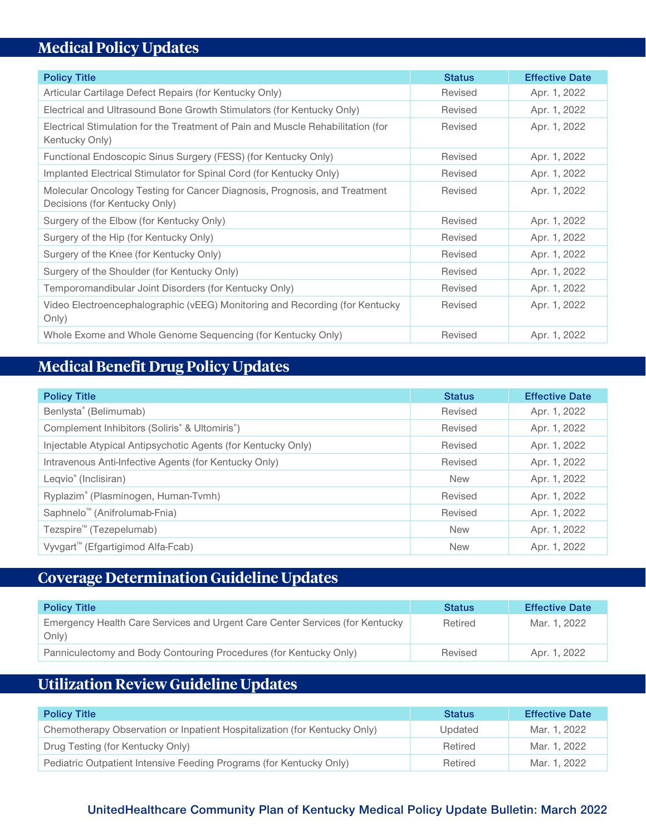# **Medical Policy Updates**

| <b>Policy Title</b>                                                                                        | <b>Status</b> | <b>Effective Date</b> |
|------------------------------------------------------------------------------------------------------------|---------------|-----------------------|
| Articular Cartilage Defect Repairs (for Kentucky Only)                                                     | Revised       | Apr. 1, 2022          |
| Electrical and Ultrasound Bone Growth Stimulators (for Kentucky Only)                                      | Revised       | Apr. 1, 2022          |
| Electrical Stimulation for the Treatment of Pain and Muscle Rehabilitation (for<br>Kentucky Only)          | Revised       | Apr. 1, 2022          |
| Functional Endoscopic Sinus Surgery (FESS) (for Kentucky Only)                                             | Revised       | Apr. 1, 2022          |
| Implanted Electrical Stimulator for Spinal Cord (for Kentucky Only)                                        | Revised       | Apr. 1, 2022          |
| Molecular Oncology Testing for Cancer Diagnosis, Prognosis, and Treatment<br>Decisions (for Kentucky Only) | Revised       | Apr. 1, 2022          |
| Surgery of the Elbow (for Kentucky Only)                                                                   | Revised       | Apr. 1, 2022          |
| Surgery of the Hip (for Kentucky Only)                                                                     | Revised       | Apr. 1, 2022          |
| Surgery of the Knee (for Kentucky Only)                                                                    | Revised       | Apr. 1, 2022          |
| Surgery of the Shoulder (for Kentucky Only)                                                                | Revised       | Apr. 1, 2022          |
| Temporomandibular Joint Disorders (for Kentucky Only)                                                      | Revised       | Apr. 1, 2022          |
| Video Electroencephalographic (vEEG) Monitoring and Recording (for Kentucky<br>Only)                       | Revised       | Apr. 1, 2022          |
| Whole Exome and Whole Genome Sequencing (for Kentucky Only)                                                | Revised       | Apr. 1, 2022          |

## **Medical Benefit Drug Policy Updates**

| <b>Policy Title</b>                                                    | <b>Status</b> | <b>Effective Date</b> |
|------------------------------------------------------------------------|---------------|-----------------------|
| Benlysta® (Belimumab)                                                  | Revised       | Apr. 1, 2022          |
| Complement Inhibitors (Soliris <sup>®</sup> & Ultomiris <sup>®</sup> ) | Revised       | Apr. 1, 2022          |
| Injectable Atypical Antipsychotic Agents (for Kentucky Only)           | Revised       | Apr. 1, 2022          |
| Intravenous Anti-Infective Agents (for Kentucky Only)                  | Revised       | Apr. 1, 2022          |
| Leqvio <sup>®</sup> (Inclisiran)                                       | <b>New</b>    | Apr. 1, 2022          |
| Ryplazim® (Plasminogen, Human-Tvmh)                                    | Revised       | Apr. 1, 2022          |
| Saphnelo <sup>™</sup> (Anifrolumab-Fnia)                               | Revised       | Apr. 1, 2022          |
| Tezspire <sup>™</sup> (Tezepelumab)                                    | <b>New</b>    | Apr. 1, 2022          |
| Vyvgart <sup>™</sup> (Efgartigimod Alfa-Fcab)                          | <b>New</b>    | Apr. 1, 2022          |

## **Coverage Determination Guideline Updates**

| <b>Policy Title</b>                                                                   | <b>Status</b> | <b>Effective Date</b> |
|---------------------------------------------------------------------------------------|---------------|-----------------------|
| Emergency Health Care Services and Urgent Care Center Services (for Kentucky<br>Only) | Retired       | Mar. 1, 2022          |
| Panniculectomy and Body Contouring Procedures (for Kentucky Only)                     | Revised       | Apr. 1, 2022          |

## **Utilization Review Guideline Updates**

| <b>Policy Title</b>                                                       | <b>Status</b> | <b>Effective Date</b> |
|---------------------------------------------------------------------------|---------------|-----------------------|
| Chemotherapy Observation or Inpatient Hospitalization (for Kentucky Only) | Updated       | Mar. 1, 2022          |
| Drug Testing (for Kentucky Only)                                          | Retired       | Mar. 1, 2022          |
| Pediatric Outpatient Intensive Feeding Programs (for Kentucky Only)       | Retired       | Mar. 1, 2022          |

## **UnitedHealthcare Community Plan of Kentucky Medical Policy Update Bulletin: March 2022**